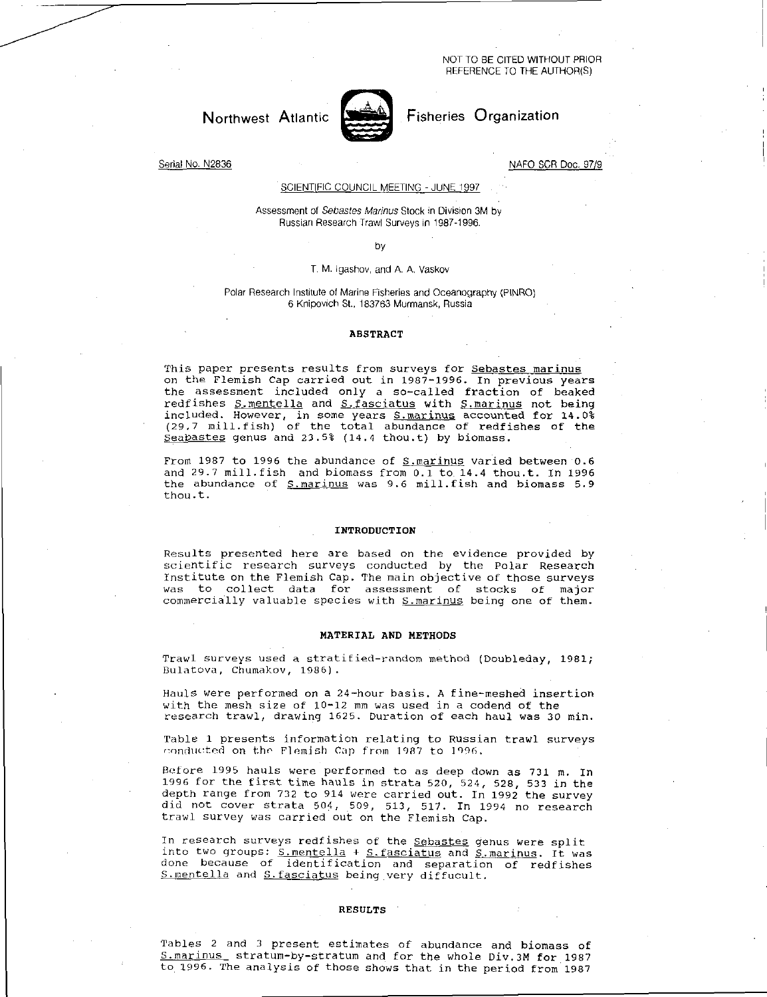NOT TO BE CITED WITHOUT PRIOR REFERENCE TO THE AUTHOR(S)

# Northwest Atlantic



## Fisheries Organization

Serial No. N2836

NAFO SCR Doc. 97/9

### SCIENTIFIC COUNCIL MEETING -JUNE 1997

#### Assessment of *Sebastes Marinas* Stock in Division 3M by Russian Research Trawl Surveys in 1987-1996.

#### by

#### T. M. Igashov, and A. A. Vaskov

#### Polar Research Institute of Marine Fisheries and Oceanography (PINRO) 6 Knipovich St., 183763 Murmansk, Russia

#### ABSTRACT

This paper presents results from surveys for Sebastes marinus on the Flemish Cap carried out in 1987-1996. In previous years the assessment included only a so-called fraction of beaked redfishes S.mentella and S.fasciatus with S.marinus not being included. However, in some years S.marinus accounted for 14.0% (29,7 mill.fish) of the total abundance of redfishes of the Sea<u>bastes</u> genus and 23.5% (14.4 thou.t) by biomass.

From 1987 to 1996 the abundance of **S.marinus** varied between 0.6 and 29.7 mill.fish and biomass from 0.1 to 14.4 thou.t. In 1996 the abundance of S.marinus was 9.6 mill.fish and biomass 5.9 thou.t.

#### INTRODUCTION

Results presented here are based on the evidence provided by scientific research surveys conducted by the Polar Research Institute on the Flemish Cap. The main objective of those surveys was to collect data for assessment of stocks of major commercially valuable species with S.marinus being one of them.

#### MATERIAL AND METHODS

Trawl surveys used a stratified-random method (Doubleday, 1981; Bulatova, Chumakov, 1986).

Hauls were performed on a 24-hour basis. A fine-meshed insertion with the mesh size of 10-12 mm was used in a codend of the research trawl, drawing 1625. Duration of each haul was 30 min.

Table 1 presents information relating to Russian trawl surveys conducted on the Flemish Cap from 1987 to 1996.

Before 1995 hauls were performed to as deep down as 731 m. In 1996 for the first time hauls in strata 520, 524, 528, 533 in the depth range from 732 to 914 were carried out. In 1992 the survey did not cover strata 504, 509, 513, 517. In 1994 no research trawl survey was carried out on the Flemish Cap.

In research surveys redfishes of the Sebastes genus were split into two groups: <u>S.mentella</u> + <u>S.fasciatus</u> and <u>S.marinus</u>. It was done because of identification and separation of redfishes S.mentella and S.fasciatus being very diffucult.

#### RESULTS

Tables 2 and 3 present estimates of abundance and biomass of S.marinus stratum-by-stratum and for the whole Div.3M for 1987 to 1996. The analysis of those shows that in the period from 1987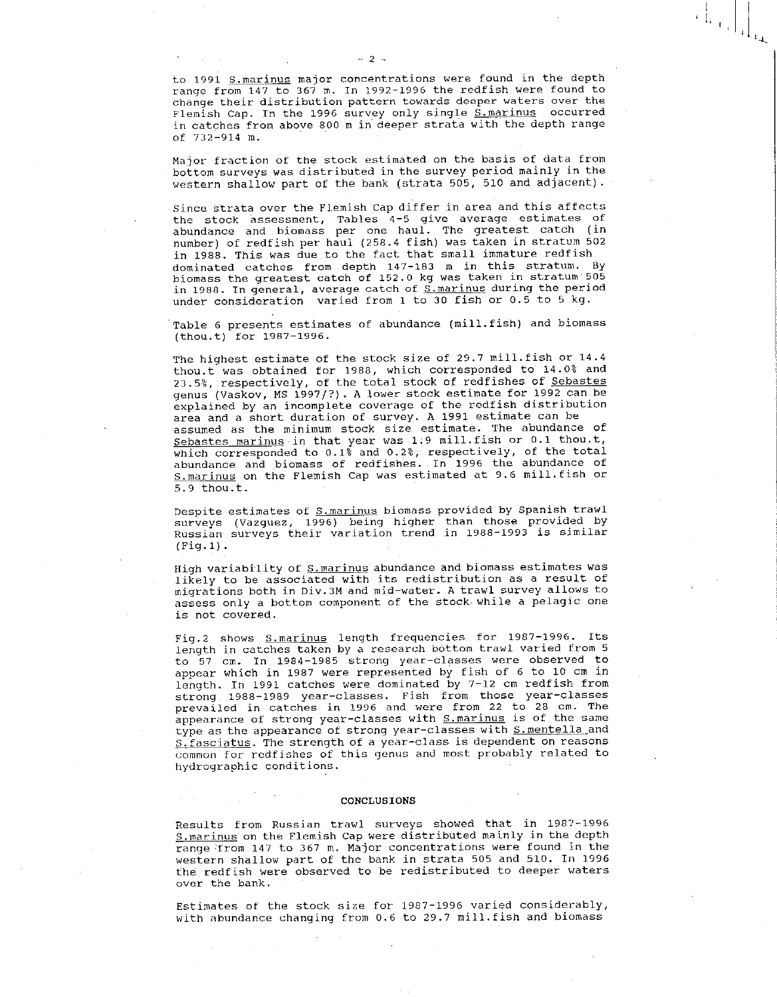to 1991 S.marinus major concentrations were found in the depth range from  $147$  to  $367$  m. In 1992-1996 the redfish were found to change their distribution pattern towards deeper waters over the Flemish Cap. In the 1996 survey only single S.marinus occurred in catches from above 800 m in deeper strata with the depth range of 732-914 m.

Major fraction of the stock estimated on the basis of data from bottom surveys was distributed in the survey period mainly in the western shallow part of the bank (strata 505, 510 and adjacent).

Since strata over the Flemish Cap differ in area and this affects the stock assessment, Tables 4-5 give average estimates of abundance and biomass per one haul. The greatest catch (in number) of redfish per haul (258.4 fish) was taken in stratum 502 in 1988. This was due to the fact that small immature redfish dominated catches from depth 147-183 m in this stratum. By biomass the greatest catch of 152.0 kg was taken in stratum 505 in 1988. In general, average catch of <u>S.marinus</u> during the period under consideration varied from 1 to 30 fish or 0.5 to 5 kg.

Table 6 presents estimates of abundance (mill.fish) and biomass (thou.t) for 1987-1996.

The highest estimate of the stock size of 29.7 mill.fish or 14.4 thou.t was obtained for 1988, which corresponded to 14.0% and 23.5%, respectively, of the total stock of redfishes of Sebastes genus (Vaskov, MS 1997/?). A lower stock estimate for 1992 can be explained by an incomplete coverage of the redfish distribution area and a short duration of survey. A 1991 estimate can be assumed as the minimum stock size estimate. The abundance of Sebastes marinus in that year was 1.9 mill.fish or 0.1 thou.t, which corresponded to 0.1% and 0.2%, respectively, of the total abundance and biomass of redfishes. In 1996 the abundance of S.marinus on the Flemish Cap was estimated at 9.6 mill.fish or 5.9 thou.t.

Despite estimates of S.marinus biomass provided by Spanish trawl surveys (Vazquez, 1996) being higher than those provided by Russian surveys their variation trend in 1988-1993 is similar (Fig.1).

High variability of S. marinus abundance and biomass estimates was likely to be associated with its redistribution as a result of migrations both in Div.3M and mid-water. A trawl survey allows to assess only a bottom component of the stock while a pelagic one is not covered.

Fig.2 shows S.marinus length frequencies for 1987-1996. Its length in catches taken by a research bottom trawl varied from 5 to 57 cm. In 1984-1985 strong year-classes were observed to appear which in 1987 were represented by fish of 6 to 10 cm in length. In 1991 catches were dominated by 7-12 cm redfish from strong 1988-1989 year-classes. Fish from those year-classes prevailed in catches in 1996 and were from 22 to 28 cm. The appearance of strong year-classes with S.marinus is of the same type as the appearance of strong year-classes with S. mentella and S.fasciatus. The strength of a year-class is dependent on reasons common for redfishes of this genus and most probably related to hydrographic conditions.

#### CONCLUSIONS

Results from Russian trawl surveys showed that in 1987-1996 S. marinus on the Flemish Cap were distributed mainly in the depth range from 147 to 367 m. Major concentrations were found in the western shallow part of the bank in strata 505 and 510. In 1996 the redfish were observed to be redistributed to deeper waters over the bank.

Estimates of the stock size for 1987-1996 varied considerably, with abundance changing from 0.6 to 29.7 mill.fish and biomass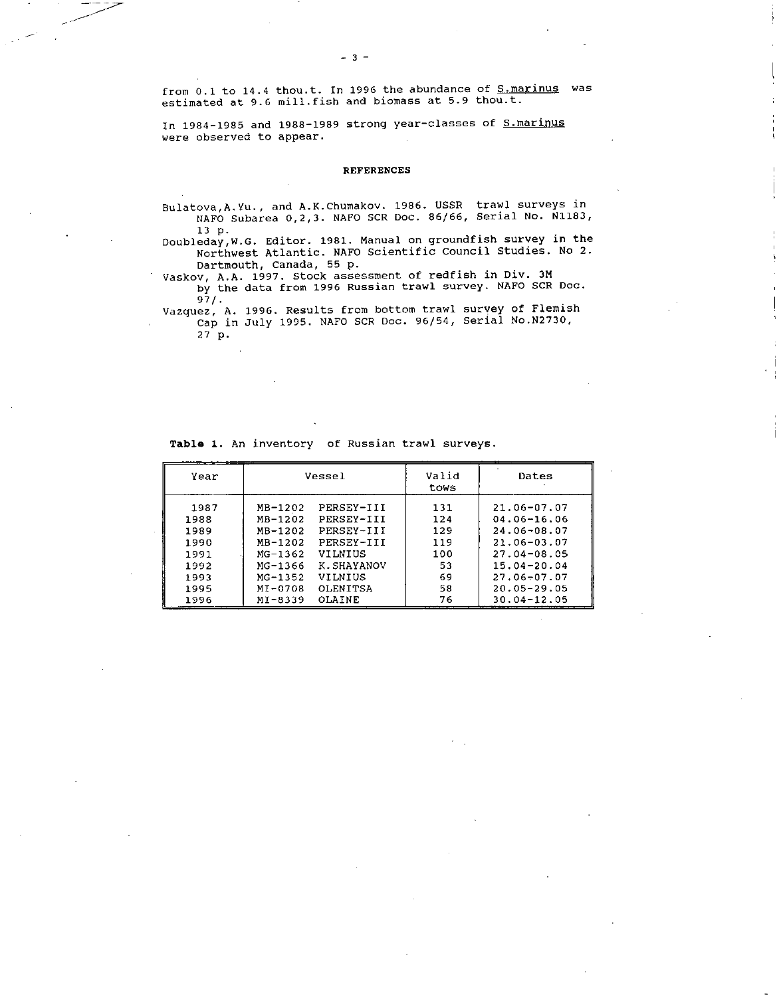from 0.1 to 14.4 thou.t. In 1996 the abundance of S. marinus was estimated at 9.6 mill.fish and biomass at 5.9 thou.t.

In 1984-1985 and 1988-1989 strong year-classes of S.marinus were observed to appear.

### REFERENCES

Bulatova,A.Yu., and A.K.Chumakov. 1986. USSR trawl surveys in NAFO Subarea 0,2,3. NAFO SCR Doc. 86/66, Serial No. N1183, 13 p.

Doubleday,W.G. Editor. 1981. Manual on groundfish survey in the Northwest Atlantic. NAFO Scientific Council Studies. No 2. Dartmouth, Canada, 55 p.

Vaskov, A.A. 1997. Stock assessment of redfish in Div. 3M by the data from 1996 Russian trawl survey. NAFO SCR Doc. 97/.

Vazquez, A. 1996. Results from bottom trawl survey of Flemish Cap in July 1995. NAFO SCR Doc. 96/54, Serial No.N2730,

27 p.

>r -

Table 1. An inventory of Russian trawl surveys.

| Year |             | Vessel          | Valid<br>tows | Dates           |
|------|-------------|-----------------|---------------|-----------------|
| 1987 | MB-1202     | PERSEY-III      | 131           | $21.06 - 07.07$ |
| 1988 | MB-1202     | PERSEY-III      | 124           | $04.06 - 16.06$ |
| 1989 | MB-1202     | PERSEY-III      | 129           | 24.06-08.07     |
| 1990 | MB-1202     | PERSEY-III      | 119           | 21.06-03.07     |
| 1991 | $MG-1362$   | VILNIUS         | 100           | $27.04 - 08.05$ |
| 1992 | MG-1366     | K SHAYANOV      | 53            | $15.04 - 20.04$ |
| 1993 | $MC - 1352$ | VIINIUS         | 69            | 27.06-07.07     |
| 1995 | MT-0708     | <b>OLFNITSA</b> | 58            | $20.05 - 29.05$ |
| 1996 | $MT - 8339$ | <b>OLATNE</b>   | 76            | 30.04-12.05     |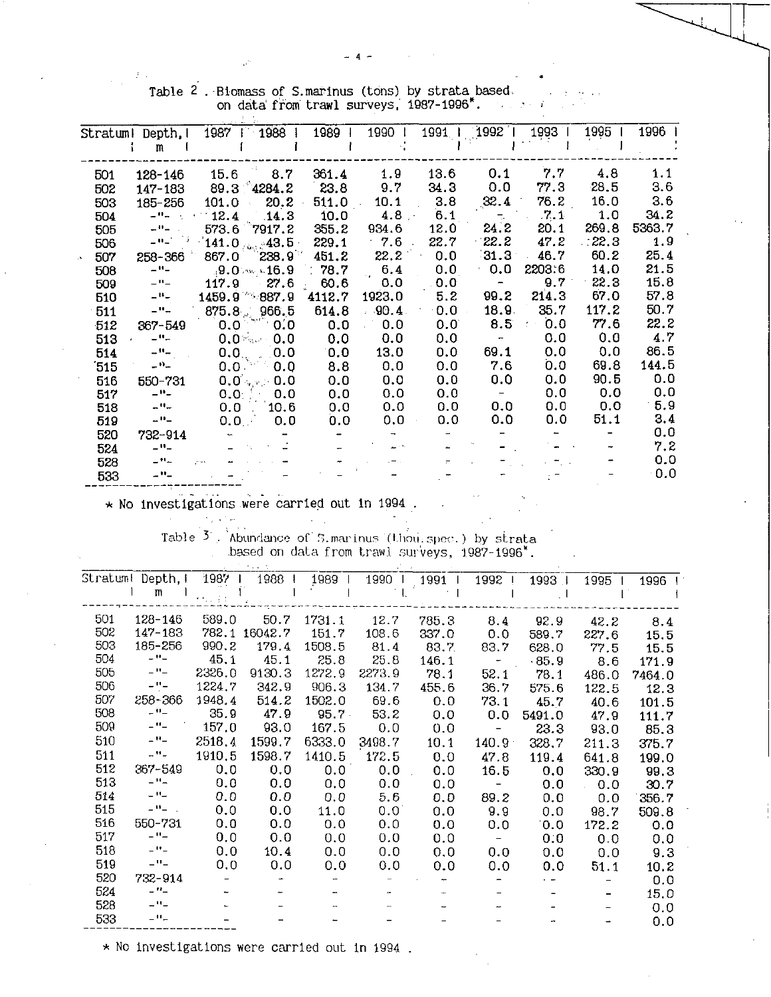$\frac{1}{2}$ 

| Stratuml | Depth, I                    | 1988<br>1987                    | 1989              | 1990    | 1991           | 1992                     | 1993   | 1995  | 1996        |
|----------|-----------------------------|---------------------------------|-------------------|---------|----------------|--------------------------|--------|-------|-------------|
|          | m                           |                                 |                   |         |                |                          |        |       |             |
| 501      | 128-146                     | 15.6<br>8.7                     | 361.4             | 1.9     | 13.6           | 0.1                      | 7.7    | 4.8   | 1.1         |
| 502      | 147-183                     | $89.3^{\circ}4284.2$            | 23.8              | 9.7     | 34.3           | 0.0                      | 77.3   | 28.5  | 3.6         |
| 503      | 185-256                     | 20.2<br>101.0<br>$\sim$         | 511.0             | 10.1    | 3.8            | 32.4                     | 76.2   | 16.0  | 3.6         |
| 504      | $ \mathbf{H}$ $-$           | 12.4<br>.14.3                   | 10.0              | 4.8     | 6 <sub>1</sub> | $\frac{1}{\sqrt{2}}$     | .7.1   | 1.0   | 34.2        |
| 505      | $\omega^{AB}$ $\omega$      | $573.6$ 7917.2                  | 355.2             | 934.6   | 12.0           | 24.2                     | 20.1   | 269.8 | 5363.7      |
| 506      | $\omega$ Music              | $141.0$ $\mu_{\rm{tot}}/43.5$ : | 229.1             | 7.6     | 22.7           | 22.2                     | 47.2   | 22.3  | 1.9         |
| 507      | 258-366                     | $238.9^{\circ}$<br>867.0        | 451.2             | 22.2    | 0.0            | 31.3                     | 46.7   | 60.2  | 25.4        |
| 508      | $ -$                        | $19.0$ M $16.9$                 | $\therefore$ 78.7 | 6.4     | 0.0            | 0.0                      | 2203.6 | 14.0  | 21.5        |
| 509      | $-$ <sup>11</sup> $-$       | 117.9<br>27.6                   | 60.6              | 0,0     | 0.0            | $\overline{\phantom{a}}$ | 9.7    | 22.3  | 15.8        |
| 510      | $ ^{\rm H}$ $-$             | $1459.9$ 887.9                  | 4112.7            | 1923.0  | 5.2            | 99.2                     | 214.3  | 67.0  | 57.8        |
| 511      | $\mathbf{u} = \mathbf{u}$   | 966.5<br>875.8                  | 614.8             | $-90.4$ | 0.0            | 18.9                     | 35.7   | 117.2 | 50.7        |
| $-512$   | 367-549                     | 0.0<br>0,0                      | 0.0               | 0.0     | 0.0            | 8.5                      | 0.0    | 77.6  | 22.2        |
| 513      | $ \mathbf{u}$ $-$           | 0.0<br>0.0                      | 0.0               | 0.0     | 0.0            | $\overline{\phantom{a}}$ | 0.0    | 0.0   | 4.7         |
| 514      | $\mathbb{L}^{11}\mathbb{L}$ | 0.0<br>0.0                      | 0.0               | 13.0    | 0.0            | 69.1                     | 0.0    | 0.0   | 86.5        |
| ΄515     | $ n_{-}$                    | 0.0<br>0.0                      | 8.8               | 0.0     | 0.0            | 7.6                      | 0.0    | 69.8  | 144.5       |
| 516      | 550-731                     | 0.0 <sub>1</sub> < 0.0          | 0.0               | 0.0     | 0.0            | 0.0                      | 0.0    | 90.5  | 0.0         |
| 517      | $ \mathbf{u}$ $-$           | 0.0<br>$0.0$ .                  | 0.0               | 0.0     | 0.0            |                          | 0.0    | 0.0   | 0.0         |
| 518      | $-$ <sup>11</sup> $-$       | 10.6<br>0.0                     | 0.0               | 0.0     | 0.0            | 0.0                      | 0.0    | 0.0   | 5.9         |
| 519      | $\omega$ H $\omega$         | 0.0 <sub>1</sub><br>0.0         | 0.0               | 0,0     | 0.0            | 0.0                      | 0.0    | 51.1  | 3.4         |
| 520      | 732-914                     |                                 |                   |         |                |                          |        |       | 0.0         |
| 524      | $ \mathbf{u}$ $-$           |                                 |                   |         |                |                          |        |       | 7.2         |
| 528      | $ \mathbf{H}$ $-$           |                                 |                   |         |                |                          |        |       | 0.0         |
| 533      | $ -$                        |                                 |                   |         |                |                          |        |       | $0.0^\circ$ |

Table 2. Biomass of S.marinus (tons) by strata based on data from trawl surveys, 1987-1996.

\* No investigations were carried out in 1994.

 $\mathcal{O}(\sqrt{3})$  and Table  $3$ . Abundance of 5.martnus (thousapec.) by strata based on data from trawl surveys, 1987-1996.

| Stratuml | Depth.I                              | 1987   | 1988    | 1989     | 1990   | 1991  | 1992                     | 1993        | 1995  | 1996   |
|----------|--------------------------------------|--------|---------|----------|--------|-------|--------------------------|-------------|-------|--------|
|          | m                                    |        |         |          |        |       |                          |             |       |        |
| 501      | 128-146                              | 589,0  | 50.7    | 1731.1   | 12.7   | 785.3 | 8.4                      | 92.9        | 42.2  | 8.4    |
| 502      | 147-183                              | 782.1  | 16042.7 | 151.7    | 108.6  | 337.0 | 0.0                      | 589.7       | 227.6 | 15.5   |
| 503      | 185-256                              | 990, 2 | 179.4   | 1508.5   | 81.4   | 83.7  | 83.7                     | 628.0       | 77.5  | 15.5   |
| 504      | $ \cdot$ $-$                         | 45.1   | 45.1    | 25.8     | 25.8   | 146.1 |                          | .85.9       | 8.6   | 171.9  |
| 505      | $\mathbb{L}^{11}\mathbb{L}$          | 2326.0 | 9130.3  | 1272.9   | 2273.9 | 78.1  | 52.1                     | 78.1        | 486.0 | 7464.0 |
| 506      | $ \hspace{-0.5mm}$ $\hspace{-0.5mm}$ | 1224.7 | 342.9   | 906.3    | 134.7  | 455.6 | 36.7                     | 575.6       | 122.5 | 12.3   |
| 507      | 258-366                              | 1948.4 | 514.2   | 1502.0   | 69.6   | 0.0   | 73.1                     | 45.7        | 40.6  | 101.5  |
| 508      | $-11-$                               | 35.9   | 47.9    | $95.7 -$ | 53.2   | 0.0   | 0.0                      | 5491.0      | 47.9  | 111.7  |
| 509      | $ -$                                 | 157.0  | 93.0    | 167.5    | 0.0    | 0.0   |                          | 23.3        | 93.0  | 85.3   |
| 510      | $-$ H $-$                            | 2518.4 | 1599.7  | 6333.0   | 3498.7 | 10.1  | 140.9 <sup>°</sup>       | 328.7       | 211.3 | 375.7  |
| 511      | $ \cdot\cdot$ $-$                    | 1910.5 | 1598.7  | 1410.5   | 172.5  | 0.0   | 47.8                     | 119.4       | 641.8 | 199.0  |
| 512      | 367-549                              | 0.0    | 0.0     | 0.0      | 0.0    | 0.0   | 16.5                     | 0.0         | 330.9 | 99.3   |
| 513      | $ \mathbf{H}_{\text{m}}$             | 0.0    | 0.0     | 0.0      | 0.0    | 0.0   |                          | 0.0         | 0.0   | 30.7   |
| 514      | $\equiv$ $^{11}$ $\equiv$            | 0.0    | 0.0     | 0.0      | 5.6    | 0.0   | 89.2                     | 0.0         | 0.0   | 356.7  |
| 515      | $-9-1$                               | 0.0    | 0.0     | 11.0     | 0.0    | 0.0   | 9.9                      | 0.0         | 98.7  | 509.8  |
| 516      | 550-731                              | 0.0    | 0.0     | 0.0      | 0.0    | 0.0   | 0.0                      | $0.0^\circ$ | 172.2 | 0.0    |
| 517      | $ -$                                 | 0,0    | 0.0     | 0.0      | 0.0    | 0.0   | $\overline{\phantom{m}}$ | 0.0         | 0.0   | 0.0    |
| 518      | $\equiv$ $\Omega$ $\equiv$           | 0.0    | 10.4    | 0.0      | 0.0    | 0,0   | 0.0                      | 0.0         | 0.0   | 9.3    |
| 519      | $ -$                                 | 0.0    | 0.0     | 0.0      | 0.0    | 0.0   | 0.0                      | 0.0         | 51.1  | 10.2   |
| 520      | 732-914                              |        |         |          |        |       |                          |             |       | 0.0    |
| 524      | $ ^{\prime\prime}$ $-$               |        |         |          |        |       |                          |             |       | 15.0   |
| 528      | $ -$                                 |        |         |          |        |       |                          |             |       | 0.0    |
| 533      | $ \mathbf{H}$ $-$                    |        |         |          |        |       |                          |             |       | 0.0    |

\* No investigations were carried out in 1994.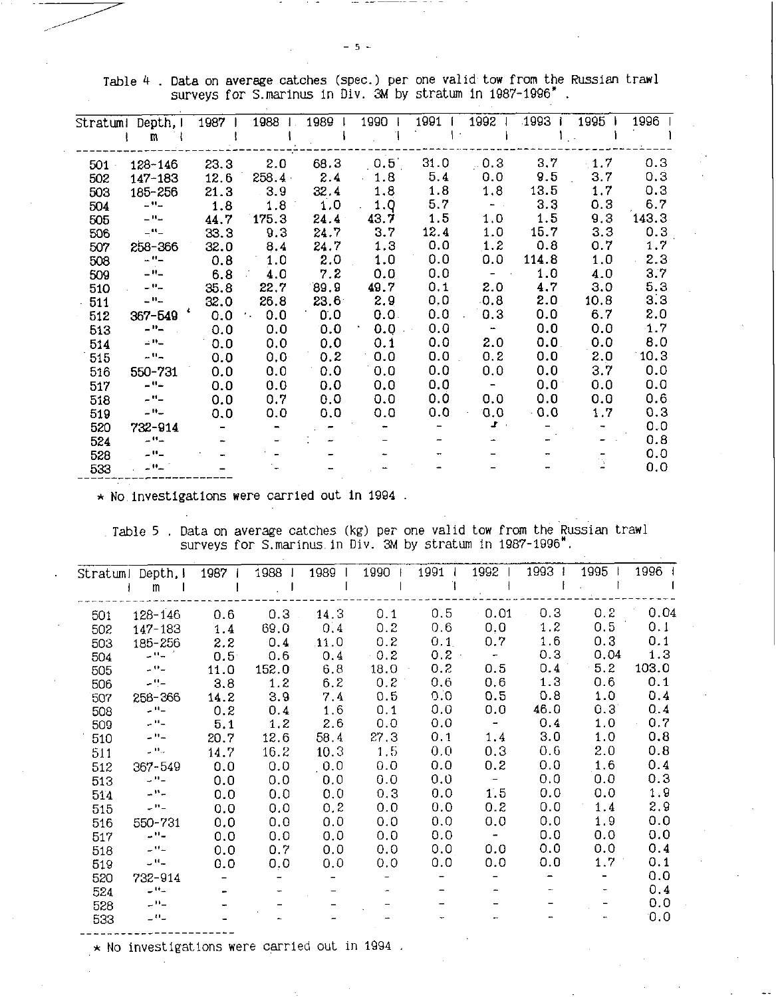| Stratumi | Depth,                              | 1987 | 1988      | 1989              | 1990 | 1991 | 1992                          | 1993  | 1995 | 1996  |
|----------|-------------------------------------|------|-----------|-------------------|------|------|-------------------------------|-------|------|-------|
|          | m                                   |      |           |                   |      |      |                               |       |      |       |
| 501      | 128-146                             | 23.3 | 2.0       | 68.3              | 0.5  | 31.0 | 0.3                           | 3.7   | 1.7  | 0.3   |
| 502      | 147-183                             | 12.6 | 258.4     | 2.4               | 1.8  | 5.4  | 0.0                           | 9.5   | 3.7  | 0.3   |
| 503      | 185-256                             | 21.3 | 3.9       | 32.4              | 1.8  | 1.8  | 1.8                           | 13.5  | 1.7  | 0.3   |
| 504      | $\mathbf{L}^{\mathbf{H}}$           | 1.8  | 1.8       | 1.0               | 1.0  | 5.7  | $\frac{1}{2}$ , $\frac{1}{2}$ | 3.3   | 0.3  | 6.7   |
| 505      | سالات                               | 44.7 | 175.3     | 24.4              | 43.7 | 1.5  | 1.0                           | 1.5   | 9.3  | 143.3 |
| 506      | -"-                                 | 33.3 | 9.3       | 24.7              | 3.7  | 12.4 | 1.0                           | 15.7  | 3,3  | 0.3   |
| 507      | 258-366                             | 32.0 | 8.4       | 24.7              | 1.3  | 0,0  | 1.2                           | 0.8   | 0.7  | 1.7   |
| 508      | $ -$                                | 0.8  | 1.0       | 2.0               | 1.0  | 0.0  | 0.0                           | 114.8 | 1.0  | 2.3   |
| 509      | $ -$                                | 6.8  | 4.0       | 7.2               | 0.0  | 0.0  |                               | 1.0   | 4.0  | 3.7   |
| 510      | - "-                                | 35.8 | 22.7      | 89.9              | 49.7 | 0,1  | 2.0                           | 4.7   | 3.0  | 5.3   |
| 511      | $\mathbf{u}^{\mathbf{H}}$           | 32.0 | 26.8      | 23.6 <sup>2</sup> | 2.9  | 0,0  | 0.8                           | 2.0   | 10.8 | 3.3   |
| 512      | 367-549                             | 0.0  | 0.0<br>٠. | 0.0               | 0.0. | 0.0  | 0.3                           | 0.0   | 6.7  | 2.0   |
| 513      | $-$ H $-$                           | 0.0  | 0.0       | 0.0               | 0.0  | 0.0  | $\blacksquare$                | 0.0   | 0.0  | 1.7   |
| 514      | $\mathbf{m}$                        | 0.0  | 0.0       | 0.0               | 0.1  | 0.0  | 2.0                           | 0.0   | 0.0  | 8.0   |
| 515      | $-11-$                              | 0.0  | 0,0       | 0.2               | 0.0  | 0.0  | 0, 2                          | 0.0   | 2.0  | 10.3  |
| 516      | 550-731                             | 0.0  | 0.0       | 0.0               | 0.0  | 0.0  | 0.0                           | 0.0   | 3.7  | 0.0   |
| 517      | -"-                                 | 0.0  | 0.0       | 0.0               | 0.0  | 0.0  | $\overline{\phantom{m}}$      | 0.0   | 0.0  | 0.0   |
| 518      | $\mathcal{L}^{\text{H}}\mathcal{L}$ | 0.0  | 0.7       | 0.0               | 0.0  | 0.0  | 0.0                           | 0.0   | 0.0  | 0.6   |
| 519      | $ \mathbf{H}$ $-$                   | 0.0  | 0.0       | 0.0               | 0.0  | 0.0  | 0.0                           | 0.0   | 1.7  | 0.3   |
| 520      | 732-914                             |      |           |                   |      |      | $\mathbf{r}$                  |       |      | 0.0   |
| 524      | $ -$                                |      |           |                   |      |      |                               |       |      | 0.8   |
| 528      | $ \mathbf{u}$ $-$                   |      |           |                   |      |      |                               |       |      | 0.0   |
| 533      | $ \mathbf{0}$ $-$                   |      |           |                   |      |      |                               |       |      | 0, 0  |
|          |                                     |      |           |                   |      |      |                               |       |      |       |

Table 4 . Data on average catches (spec.) per one valid tow from the Russian trawl surveys for S.marinus in Div. 3M by stratum in 1987-1996' .

\* No investigations were carried out In 1994 .

Table 5 . Data on average catches (kg) per one valid tow from the Russian trawl surveys for S.marinus in Div. 3M by stratum in 1987-1996".

| Stratuml | Depth, I               | 1987             | 1988  | 1989 | 1990 | 1991    | 1992                     | 1993 | 1995 | 1996  |
|----------|------------------------|------------------|-------|------|------|---------|--------------------------|------|------|-------|
|          | m                      |                  |       |      |      |         |                          |      |      |       |
| 501      | 128-146                | 0.6              | 0.3   | 14.3 | 0.1  | 0.5     | 0.01                     | 0.3  | 0.2  | 0.04  |
| 502      | 147-183                | 1.4              | 69.0  | 0.4  | 0.2  | 0.6     | 0.0                      | 1.2  | 0.5  | 0.1   |
| 503      | 185-256                | 2.2              | 0.4   | 11.0 | 0.2  | 0.1     | 0.7                      | 1.6  | 0.3  | 0.1   |
| 504      | 부부부                    | 0.5 <sub>1</sub> | 0.6   | 0.4  | 0.2  | $0.2 -$ | $\overline{\phantom{a}}$ | 0.3  | 0.04 | 1.3   |
| 505      | $ \theta$ $-$          | 11.0             | 152.0 | 6.8  | 18.0 | 0.2     | 0.5                      | 0.4  | 5.2  | 103.0 |
| 506      | $ \frac{16}{1}$        | 3.8              | 1.2   | 6.2  | 0.2  | 0.6     | 0,6                      | 1.3  | 0.6  | 0.1   |
| 507      | 258-366                | 14.2             | 3.9   | 7.4  | 0.5  | 0.0     | 0.5                      | 0.8  | 1.0  | 0.4   |
| 508      | - الم                  | 0.2              | 0.4   | 1.6  | 0.1  | 0.0     | 0.0                      | 46.0 | 0.3  | 0.4   |
| 509      | $\sim 11-$             | 5.1              | 1.2   | 2.6  | 0.0  | 0.0     | $\overline{\phantom{a}}$ | 0.4  | 1.0  | 0.7   |
| 510      | $\omega^{11}\omega$    | 20.7             | 12.6  | 58.4 | 27.3 | 0.1     | 1.4                      | 3.0  | 1.0  | 0.8   |
| 511      | براقب                  | 14.7             | 16.2  | 10.3 | 1.5  | 0.0     | 0.3                      | 0.6  | 2.0  | 0.8   |
| 512      | 367-549                | 0.0              | 0.0   | 0.0  | 0.0  | 0.0     | 0.2                      | 0.0  | 1.6  | 0.4   |
| 513      | $-$ H $-$              | 0.0              | 0.0   | 0.0  | 0.0  | 0.0     | $\overline{\phantom{a}}$ | 0.0  | 0.0  | 0.3   |
| 514      | $ \cdot$               | 0.0              | 0.0   | 0,0  | 0.3  | 0.0     | 1.5                      | 0.0  | 0.0  | 1.9   |
| 515      | $ ^{\prime\prime}$ –   | 0.0              | 0.0   | 0.2  | 0.0  | 0.0     | 0.2                      | 0.0  | 1.4  | 2.9   |
| 516      | 550-731                | 0.0              | 0.0   | 0.0  | 0.0  | 0.0     | 0.0                      | 0.0  | 1.9  | 0.0   |
| 517      | $ \mathbf{H}$ $-$      | 0.0              | 0.0   | 0.0  | 0.0  | 0.0     |                          | 0.0  | 0.0  | 0.0   |
| 518      | $\omega$ M $\omega$    | 0.0              | 0.7   | 0.0  | 0.0  | 0.0     | 0.0                      | 0.0  | 0.0  | 0.4   |
| 519      | سالات                  | 0.0              | 0,0   | 0.0  | 0.0  | 0.0     | 0.0                      | 0.0  | 1.7  | 0.1   |
| 520      | 732-914                |                  |       |      |      |         |                          |      |      | 0.0   |
| 524      | سال ک                  |                  |       |      |      |         |                          |      |      | 0.4   |
| 528      | $ -$                   |                  |       |      |      |         |                          |      |      | 0.0   |
| 533      | $\Box$ $\Omega$ $\Box$ |                  |       |      |      |         |                          |      |      | 0.0   |
|          |                        |                  |       |      |      |         |                          |      |      |       |

 $\star$  No investigations were carried out in 1994.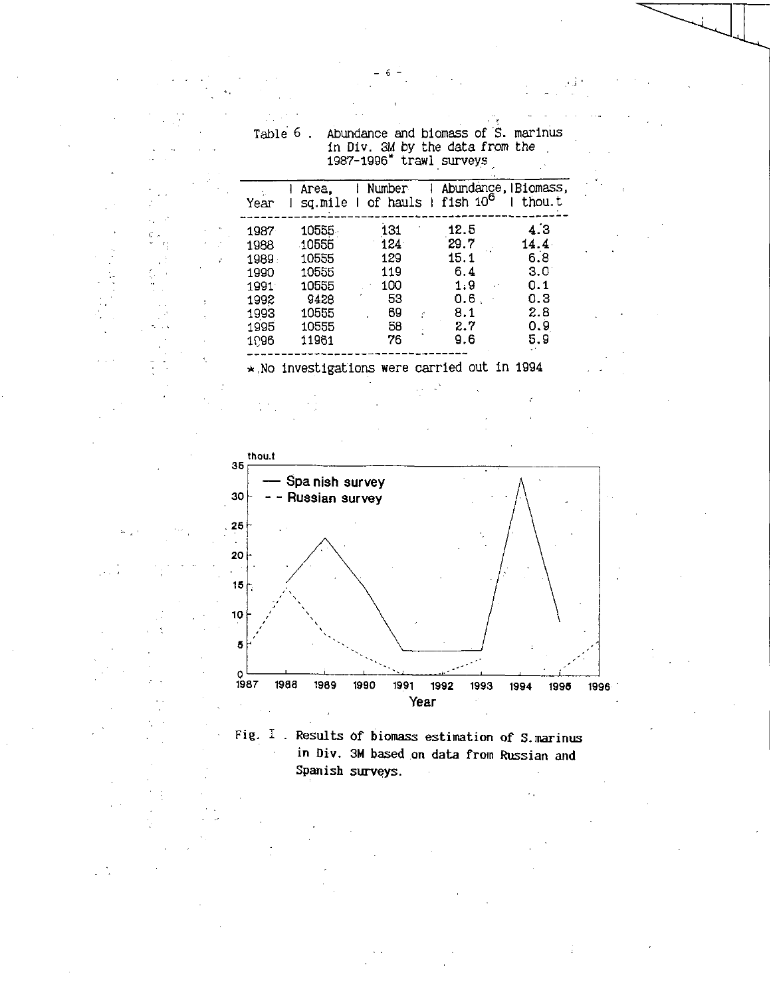|                       |                         | 1987-1996" trawl surveys                            |                      |                                  |
|-----------------------|-------------------------|-----------------------------------------------------|----------------------|----------------------------------|
| in Se<br>Year         | Area.                   | Number<br>sq.mile I of hauls I fish 10 <sup>6</sup> |                      | Abundance, IBiomass,<br>I thou.t |
| 1987<br>1988<br>1989. | 10555<br>10555<br>10555 | 131<br>124<br>129                                   | 12.5<br>29.7<br>15.1 | 4.3<br>$14.4 \cdot$<br>6.8       |
| 1990<br>1991<br>1992  | 10555<br>10555<br>9428  | 119<br>100<br>53                                    | 6.4<br>1.9<br>0.6    | 3.0<br>0.1<br>0.3                |
| 1993                  | 10555                   | 69                                                  | 8.1                  | 2.8                              |

58

76

\*. No investigations were carried out in 1994

1995

1096

10555

11961

 $0.9$ 

5.9

 $2.7$ 

 $9.6$ 

Abundance and biomass of S. marinus<br>in Div. 3M by the data from the Table 6.